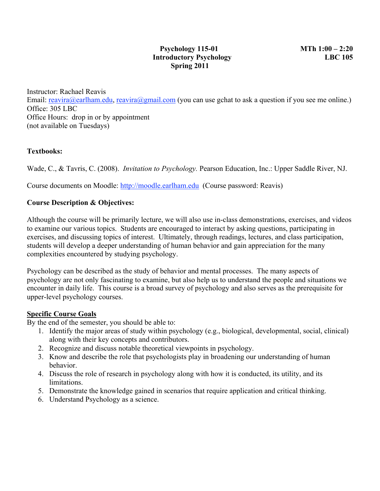Instructor: Rachael Reavis Email: reavira@earlham.edu, reavira@gmail.com (you can use gchat to ask a question if you see me online.) Office: 305 LBC Office Hours: drop in or by appointment (not available on Tuesdays)

### **Textbooks:**

Wade, C., & Tavris, C. (2008). *Invitation to Psychology.* Pearson Education, Inc.: Upper Saddle River, NJ.

Course documents on Moodle: http://moodle.earlham.edu (Course password: Reavis)

## **Course Description & Objectives:**

Although the course will be primarily lecture, we will also use in-class demonstrations, exercises, and videos to examine our various topics. Students are encouraged to interact by asking questions, participating in exercises, and discussing topics of interest. Ultimately, through readings, lectures, and class participation, students will develop a deeper understanding of human behavior and gain appreciation for the many complexities encountered by studying psychology.

Psychology can be described as the study of behavior and mental processes. The many aspects of psychology are not only fascinating to examine, but also help us to understand the people and situations we encounter in daily life. This course is a broad survey of psychology and also serves as the prerequisite for upper-level psychology courses.

### **Specific Course Goals**

By the end of the semester, you should be able to:

- 1. Identify the major areas of study within psychology (e.g., biological, developmental, social, clinical) along with their key concepts and contributors.
- 2. Recognize and discuss notable theoretical viewpoints in psychology.
- 3. Know and describe the role that psychologists play in broadening our understanding of human behavior.
- 4. Discuss the role of research in psychology along with how it is conducted, its utility, and its limitations.
- 5. Demonstrate the knowledge gained in scenarios that require application and critical thinking.
- 6. Understand Psychology as a science.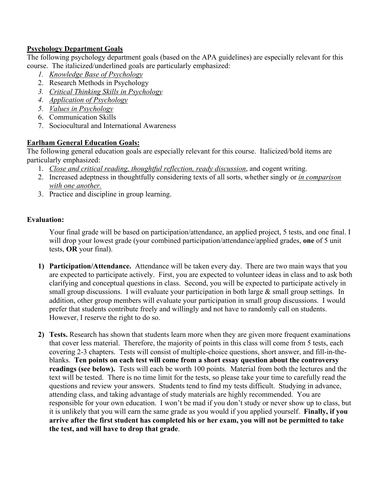## **Psychology Department Goals**

The following psychology department goals (based on the APA guidelines) are especially relevant for this course. The italicized/underlined goals are particularly emphasized:

- *1. Knowledge Base of Psychology*
- 2. Research Methods in Psychology
- *3. Critical Thinking Skills in Psychology*
- *4. Application of Psychology*
- *5. Values in Psychology*
- 6. Communication Skills
- 7. Sociocultural and International Awareness

## **Earlham General Education Goals:**

The following general education goals are especially relevant for this course. Italicized/bold items are particularly emphasized:

- 1. *Close and critical reading, thoughtful reflection, ready discussion*, and cogent writing.
- 2. Increased adeptness in thoughtfully considering texts of all sorts, whether singly or *in comparison with one another.*
- 3. Practice and discipline in group learning.

## **Evaluation:**

Your final grade will be based on participation/attendance, an applied project, 5 tests, and one final. I will drop your lowest grade (your combined participation/attendance/applied grades, **one** of 5 unit tests, **OR** your final).

- **1) Participation/Attendance.** Attendance will be taken every day. There are two main ways that you are expected to participate actively. First, you are expected to volunteer ideas in class and to ask both clarifying and conceptual questions in class. Second, you will be expected to participate actively in small group discussions. I will evaluate your participation in both large  $\&$  small group settings. In addition, other group members will evaluate your participation in small group discussions. I would prefer that students contribute freely and willingly and not have to randomly call on students. However, I reserve the right to do so.
- **2) Tests.** Research has shown that students learn more when they are given more frequent examinations that cover less material. Therefore, the majority of points in this class will come from 5 tests, each covering 2-3 chapters. Tests will consist of multiple-choice questions, short answer, and fill-in-theblanks. **Ten points on each test will come from a short essay question about the controversy readings (see below).** Tests will each be worth 100 points. Material from both the lectures and the text will be tested. There is no time limit for the tests, so please take your time to carefully read the questions and review your answers. Students tend to find my tests difficult. Studying in advance, attending class, and taking advantage of study materials are highly recommended. You are responsible for your own education. I won't be mad if you don't study or never show up to class, but it is unlikely that you will earn the same grade as you would if you applied yourself. **Finally, if you arrive after the first student has completed his or her exam, you will not be permitted to take the test, and will have to drop that grade**.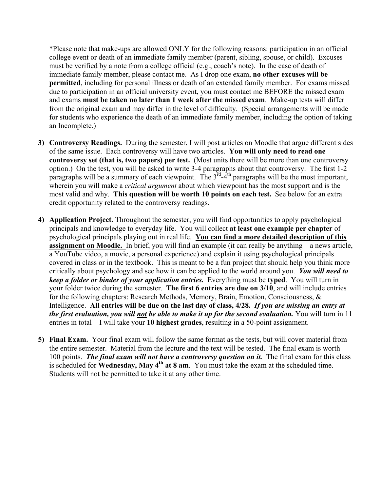\*Please note that make-ups are allowed ONLY for the following reasons: participation in an official college event or death of an immediate family member (parent, sibling, spouse, or child). Excuses must be verified by a note from a college official (e.g., coach's note). In the case of death of immediate family member, please contact me. As I drop one exam, **no other excuses will be permitted**, including for personal illness or death of an extended family member. For exams missed due to participation in an official university event, you must contact me BEFORE the missed exam and exams **must be taken no later than 1 week after the missed exam**. Make-up tests will differ from the original exam and may differ in the level of difficulty. (Special arrangements will be made for students who experience the death of an immediate family member, including the option of taking an Incomplete.)

- **3) Controversy Readings.** During the semester, I will post articles on Moodle that argue different sides of the same issue. Each controversy will have two articles. **You will only need to read one controversy set (that is, two papers) per test.** (Most units there will be more than one controversy option.) On the test, you will be asked to write 3-4 paragraphs about that controversy. The first 1-2 paragraphs will be a summary of each viewpoint. The  $3<sup>rd</sup>-4<sup>th</sup>$  paragraphs will be the most important, wherein you will make a *critical argument* about which viewpoint has the most support and is the most valid and why. **This question will be worth 10 points on each test.** See below for an extra credit opportunity related to the controversy readings.
- **4) Application Project.** Throughout the semester, you will find opportunities to apply psychological principals and knowledge to everyday life. You will collect **at least one example per chapter** of psychological principals playing out in real life. **You can find a more detailed description of this assignment on Moodle.** In brief, you will find an example (it can really be anything – a news article, a YouTube video, a movie, a personal experience) and explain it using psychological principals covered in class or in the textbook. This is meant to be a fun project that should help you think more critically about psychology and see how it can be applied to the world around you. *You will need to keep a folder or binder of your application entries.* Everything must be **typed**. You will turn in your folder twice during the semester. **The first 6 entries are due on 3/10**, and will include entries for the following chapters: Research Methods, Memory, Brain, Emotion, Consciousness, & Intelligence. **All entries will be due on the last day of class, 4/28.** *If you are missing an entry at the first evaluation, you will not be able to make it up for the second evaluation.* You will turn in 11 entries in total – I will take your **10 highest grades**, resulting in a 50-point assignment.
- **5) Final Exam.** Your final exam will follow the same format as the tests, but will cover material from the entire semester. Material from the lecture and the text will be tested. The final exam is worth 100 points. *The final exam will not have a controversy question on it.* The final exam for this class is scheduled for **Wednesday, May 4<sup>th</sup> at 8 am**. You must take the exam at the scheduled time. Students will not be permitted to take it at any other time.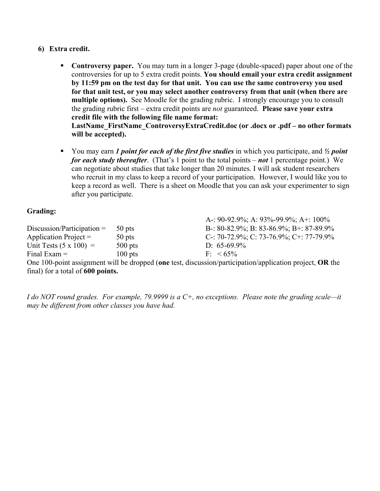#### **6) Extra credit.**

- **Controversy paper.** You may turn in a longer 3-page (double-spaced) paper about one of the controversies for up to 5 extra credit points. **You should email your extra credit assignment by 11:59 pm on the test day for that unit. You can use the same controversy you used for that unit test, or you may select another controversy from that unit (when there are multiple options).** See Moodle for the grading rubric. I strongly encourage you to consult the grading rubric first – extra credit points are *not* guaranteed. **Please save your extra credit file with the following file name format: LastName\_FirstName\_ControversyExtraCredit.doc (or .docx or .pdf – no other formats will be accepted).**
- You may earn *1 point for each of the first five studies* in which you participate, and  $\frac{1}{2}$  *point for each study thereafter*. (That's 1 point to the total points – *not* 1 percentage point.) We can negotiate about studies that take longer than 20 minutes. I will ask student researchers who recruit in my class to keep a record of your participation. However, I would like you to keep a record as well. There is a sheet on Moodle that you can ask your experimenter to sign after you participate.

### **Grading:**

|                               |           | A-: 90-92.9%; A: 93%-99.9%; A+: 100%                                                                          |
|-------------------------------|-----------|---------------------------------------------------------------------------------------------------------------|
| $Discussion/Participation =$  | 50 pts    | B-: 80-82.9%; B: 83-86.9%; B+: 87-89.9%                                                                       |
| Application Project $=$       | $50$ pts  | C-: 70-72.9%; C: 73-76.9%; C+: 77-79.9%                                                                       |
| Unit Tests $(5 \times 100)$ = | $500$ pts | D: $65-69.9\%$                                                                                                |
| Final Exam $=$                | $100$ pts | $F< 65\%$                                                                                                     |
|                               |           | One 100-point assignment will be dropped (and test, discussion/participation/application project $\Omega$ the |

One 100-point assignment will be dropped (**one** test, discussion/participation/application project, **OR** the final) for a total of **600 points.** 

*I do NOT round grades. For example, 79.9999 is a C+, no exceptions. Please note the grading scale—it may be different from other classes you have had.*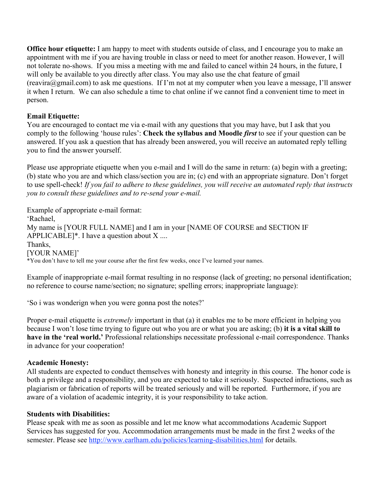**Office hour etiquette:** I am happy to meet with students outside of class, and I encourage you to make an appointment with me if you are having trouble in class or need to meet for another reason. However, I will not tolerate no-shows. If you miss a meeting with me and failed to cancel within 24 hours, in the future, I will only be available to you directly after class. You may also use the chat feature of gmail  $(reaving@gmail.com)$  to ask me questions. If I'm not at my computer when you leave a message, I'll answer it when I return. We can also schedule a time to chat online if we cannot find a convenient time to meet in person.

## **Email Etiquette:**

You are encouraged to contact me via e-mail with any questions that you may have, but I ask that you comply to the following 'house rules': **Check the syllabus and Moodle** *first* to see if your question can be answered. If you ask a question that has already been answered, you will receive an automated reply telling you to find the answer yourself.

Please use appropriate etiquette when you e-mail and I will do the same in return: (a) begin with a greeting; (b) state who you are and which class/section you are in; (c) end with an appropriate signature. Don't forget to use spell-check! *If you fail to adhere to these guidelines, you will receive an automated reply that instructs you to consult these guidelines and to re-send your e-mail.*

Example of appropriate e-mail format: 'Rachael, My name is [YOUR FULL NAME] and I am in your [NAME OF COURSE and SECTION IF APPLICABLE]\*. I have a question about  $X$ .... Thanks, [YOUR NAME]' \*You don't have to tell me your course after the first few weeks, once I've learned your names.

Example of inappropriate e-mail format resulting in no response (lack of greeting; no personal identification; no reference to course name/section; no signature; spelling errors; inappropriate language):

'So i was wonderign when you were gonna post the notes?'

Proper e-mail etiquette is *extremely* important in that (a) it enables me to be more efficient in helping you because I won't lose time trying to figure out who you are or what you are asking; (b) **it is a vital skill to have in the 'real world.'** Professional relationships necessitate professional e-mail correspondence. Thanks in advance for your cooperation!

### **Academic Honesty:**

All students are expected to conduct themselves with honesty and integrity in this course. The honor code is both a privilege and a responsibility, and you are expected to take it seriously. Suspected infractions, such as plagiarism or fabrication of reports will be treated seriously and will be reported. Furthermore, if you are aware of a violation of academic integrity, it is your responsibility to take action.

#### **Students with Disabilities:**

Please speak with me as soon as possible and let me know what accommodations Academic Support Services has suggested for you. Accommodation arrangements must be made in the first 2 weeks of the semester. Please see http://www.earlham.edu/policies/learning-disabilities.html for details.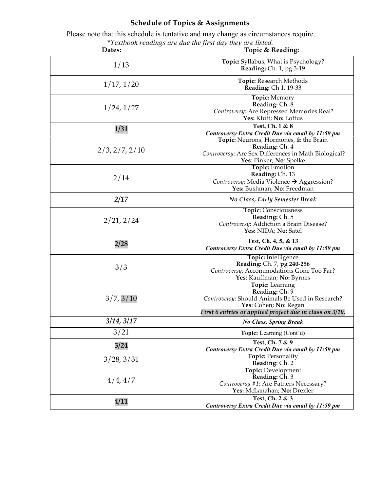# **Schedule of Topics & Assignments**

 Please note that this schedule is tentative and may change as circumstances require. *\*Textbook readings are due the first day they are listed.*

| Dates:         | Topic & Reading:                                                                                                                                                                  |
|----------------|-----------------------------------------------------------------------------------------------------------------------------------------------------------------------------------|
| 1/13           | Topic: Syllabus, What is Psychology?<br>Reading: Ch. 1, pg 3-19                                                                                                                   |
| 1/17, 1/20     | Topic: Research Methods<br><b>Reading: Ch 1, 19-33</b>                                                                                                                            |
| 1/24, 1/27     | <b>Topic:</b> Memory<br>Reading: Ch. 8<br>Controversy: Are Repressed Memories Real?<br>Yes: Kluft; No: Loftus                                                                     |
| 1/31           | Test, Ch. 1 & 8<br>Controversy Extra Credit Due via email by 11:59 pm                                                                                                             |
| 2/3, 2/7, 2/10 | Topic: Neurons, Hormones, & the Brain<br>Reading: Ch. 4<br>Controversy: Are Sex Differences in Math Biological?<br>Yes: Pinker; No: Spelke                                        |
| 2/14           | <b>Topic:</b> Emotion<br>Reading: Ch. 13<br>Controversy: Media Violence → Aggression?<br>Yes: Bushman; No: Freedman                                                               |
| 2/17           | <b>No Class, Early Semester Break</b>                                                                                                                                             |
| 2/21, 2/24     | Topic: Consciousness<br>Reading: Ch. 5<br>Controversy: Addiction a Brain Disease?<br>Yes: NIDA; No: Satel                                                                         |
| 2/28           | Test, Ch. 4, 5, & 13<br>Controversy Extra Credit Due via email by 11:59 pm                                                                                                        |
| 3/3            | Topic: Intelligence<br>Reading: Ch. 7, pg 240-256<br>Controversy: Accommodations Gone Too Far?<br>Yes: Kauffman; No: Byrnes                                                       |
| 3/7, 3/10      | <b>Topic:</b> Learning<br>Reading: Ch. 9<br>Controversy: Should Animals Be Used in Research?<br>Yes: Cohen; No: Regan<br>First 6 entries of applied project due in class on 3/10. |
| 3/14, 3/17     | <b>No Class, Spring Break</b>                                                                                                                                                     |
| 3/21           | Topic: Learning (Cont'd)                                                                                                                                                          |
| 3/24           | Test, Ch. 7 & 9<br>Controversy Extra Credit Due via email by 11:59 pm                                                                                                             |
| 3/28, 3/31     | <b>Topic: Personality</b><br>Reading: Ch. 2                                                                                                                                       |
| 4/4, 4/7       | <b>Topic: Development</b><br>Reading: Ch. 3<br>Controversy #1: Are Fathers Necessary?<br>Yes: McLanahan; No: Drexler                                                              |
| 4/11           | Test, Ch. 2 & 3<br>Controversy Extra Credit Due via email by 11:59 pm                                                                                                             |